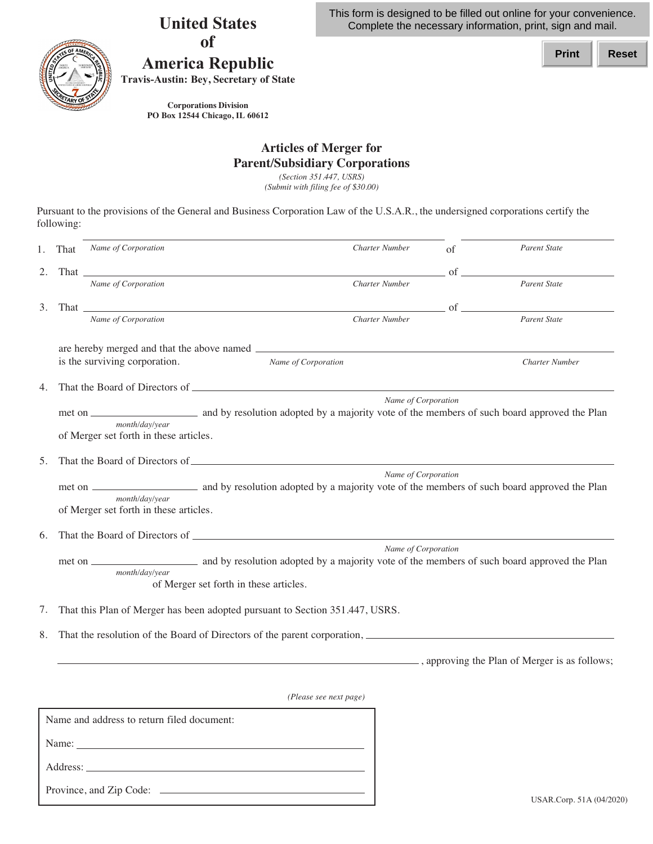**United States of**



Province, and Zip Code:

## **America Republic**

**Travis-Austin: Bey, Secretary of State** 

This form is designed to be filled out online for your convenience. Complete the necessary information, print, sign and mail.

**Print Reset**

 **PO Box 12544 Chicago, IL 60612 Corporations Division**

## **Articles of Merger for Parent/Subsidiary Corporations**

 *(Section 351.447, USRS) (Submit with filing fee of \$30.00)* 

 Pursuant to the provisions of the General and Business Corporation Law of the U.S.A.R., the undersigned corporations certify the following:

| 1. | That                                                                            | Name of Corporation                                                                                                                                                                                                            |  |                        | <b>Charter Number</b> | of         | <b>Parent State</b>   |  |  |
|----|---------------------------------------------------------------------------------|--------------------------------------------------------------------------------------------------------------------------------------------------------------------------------------------------------------------------------|--|------------------------|-----------------------|------------|-----------------------|--|--|
| 2. |                                                                                 | That the contract of the contract of the contract of the contract of the contract of the contract of the contract of the contract of the contract of the contract of the contract of the contract of the contract of the contr |  |                        |                       | of         |                       |  |  |
|    |                                                                                 | Name of Corporation                                                                                                                                                                                                            |  |                        | <b>Charter Number</b> |            | <b>Parent State</b>   |  |  |
| 3. |                                                                                 | Name of Corporation                                                                                                                                                                                                            |  |                        | Charter Number        | $\circ$ of | Parent State          |  |  |
|    |                                                                                 | is the surviving corporation.                                                                                                                                                                                                  |  | Name of Corporation    |                       |            | <b>Charter Number</b> |  |  |
| 4. |                                                                                 |                                                                                                                                                                                                                                |  |                        |                       |            |                       |  |  |
|    | Name of Corporation<br>month/day/year<br>of Merger set forth in these articles. |                                                                                                                                                                                                                                |  |                        |                       |            |                       |  |  |
| 5. |                                                                                 |                                                                                                                                                                                                                                |  |                        |                       |            |                       |  |  |
|    |                                                                                 | month/day/year<br>of Merger set forth in these articles.                                                                                                                                                                       |  |                        | Name of Corporation   |            |                       |  |  |
| 6. |                                                                                 |                                                                                                                                                                                                                                |  |                        |                       |            |                       |  |  |
|    | Name of Corporation<br>month/day/year<br>of Merger set forth in these articles. |                                                                                                                                                                                                                                |  |                        |                       |            |                       |  |  |
| 7. |                                                                                 | That this Plan of Merger has been adopted pursuant to Section 351.447, USRS.                                                                                                                                                   |  |                        |                       |            |                       |  |  |
| 8. | That the resolution of the Board of Directors of the parent corporation,        |                                                                                                                                                                                                                                |  |                        |                       |            |                       |  |  |
|    |                                                                                 |                                                                                                                                                                                                                                |  |                        |                       |            |                       |  |  |
|    |                                                                                 |                                                                                                                                                                                                                                |  | (Please see next page) |                       |            |                       |  |  |
|    |                                                                                 | Name and address to return filed document:                                                                                                                                                                                     |  |                        |                       |            |                       |  |  |
|    |                                                                                 |                                                                                                                                                                                                                                |  |                        |                       |            |                       |  |  |
|    |                                                                                 | Address: the contract of the contract of the contract of the contract of the contract of the contract of the contract of the contract of the contract of the contract of the contract of the contract of the contract of the c |  |                        |                       |            |                       |  |  |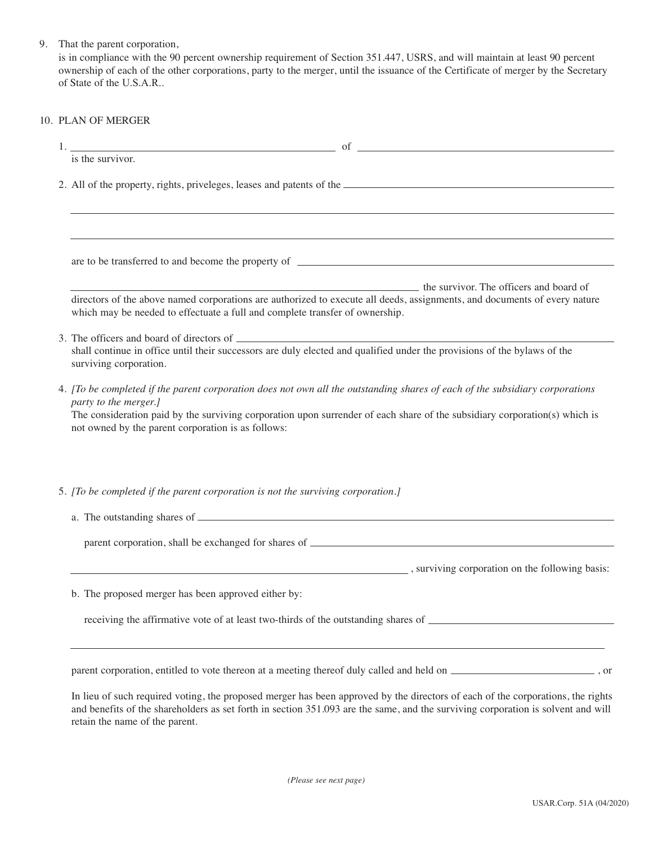| 9. |  |  |  | That the parent corporation, |
|----|--|--|--|------------------------------|
|----|--|--|--|------------------------------|

 is in compliance with the 90 percent ownership requirement of Section 351.447, USRS, and will maintain at least 90 percent ownership of each of the other corporations, party to the merger, until the issuance of the Certificate of merger by the Secretary of State of the U.S.A.R..

## 10. PLAN OF MERGER

| is the survivor.                                                                                                                                                                                                                                                                                                         |  |  |  |  |  |
|--------------------------------------------------------------------------------------------------------------------------------------------------------------------------------------------------------------------------------------------------------------------------------------------------------------------------|--|--|--|--|--|
|                                                                                                                                                                                                                                                                                                                          |  |  |  |  |  |
| 2. All of the property, rights, priveleges, leases and patents of the <i>subsequent</i> and <i>n</i> and <i>n</i> and <i>n</i> and <i>n</i> and <i>n</i> and <i>n</i> and <i>n</i> and <i>n</i> and <i>n</i> and <i>n</i> and <i>n</i> and <i>n</i> and <i>n</i> and <i>n</i> and <i>n</i> and <i>n</i> and <i>n</i> and |  |  |  |  |  |
|                                                                                                                                                                                                                                                                                                                          |  |  |  |  |  |
|                                                                                                                                                                                                                                                                                                                          |  |  |  |  |  |
| <b>Example 2.1 The Survivor.</b> The officers and board of                                                                                                                                                                                                                                                               |  |  |  |  |  |
| directors of the above named corporations are authorized to execute all deeds, assignments, and documents of every nature<br>which may be needed to effectuate a full and complete transfer of ownership.                                                                                                                |  |  |  |  |  |
|                                                                                                                                                                                                                                                                                                                          |  |  |  |  |  |
| surviving corporation.                                                                                                                                                                                                                                                                                                   |  |  |  |  |  |
| 4. [To be completed if the parent corporation does not own all the outstanding shares of each of the subsidiary corporations                                                                                                                                                                                             |  |  |  |  |  |
| party to the merger.]                                                                                                                                                                                                                                                                                                    |  |  |  |  |  |
| The consideration paid by the surviving corporation upon surrender of each share of the subsidiary corporation(s) which is<br>not owned by the parent corporation is as follows:                                                                                                                                         |  |  |  |  |  |
|                                                                                                                                                                                                                                                                                                                          |  |  |  |  |  |
| 5. [To be completed if the parent corporation is not the surviving corporation.]                                                                                                                                                                                                                                         |  |  |  |  |  |
|                                                                                                                                                                                                                                                                                                                          |  |  |  |  |  |
|                                                                                                                                                                                                                                                                                                                          |  |  |  |  |  |
| $\sim$ , surviving corporation on the following basis:                                                                                                                                                                                                                                                                   |  |  |  |  |  |
| b. The proposed merger has been approved either by:                                                                                                                                                                                                                                                                      |  |  |  |  |  |
| receiving the affirmative vote of at least two-thirds of the outstanding shares of ___________________________                                                                                                                                                                                                           |  |  |  |  |  |
|                                                                                                                                                                                                                                                                                                                          |  |  |  |  |  |
|                                                                                                                                                                                                                                                                                                                          |  |  |  |  |  |
| parent corporation, entitled to vote thereon at a meeting thereof duly called and held on _________________________, or                                                                                                                                                                                                  |  |  |  |  |  |

In lieu of such required voting, the proposed merger has been approved by the directors of each of the corporations, the rights and benefits of the shareholders as set forth in section 351.093 are the same, and the surviving corporation is solvent and will retain the name of the parent.